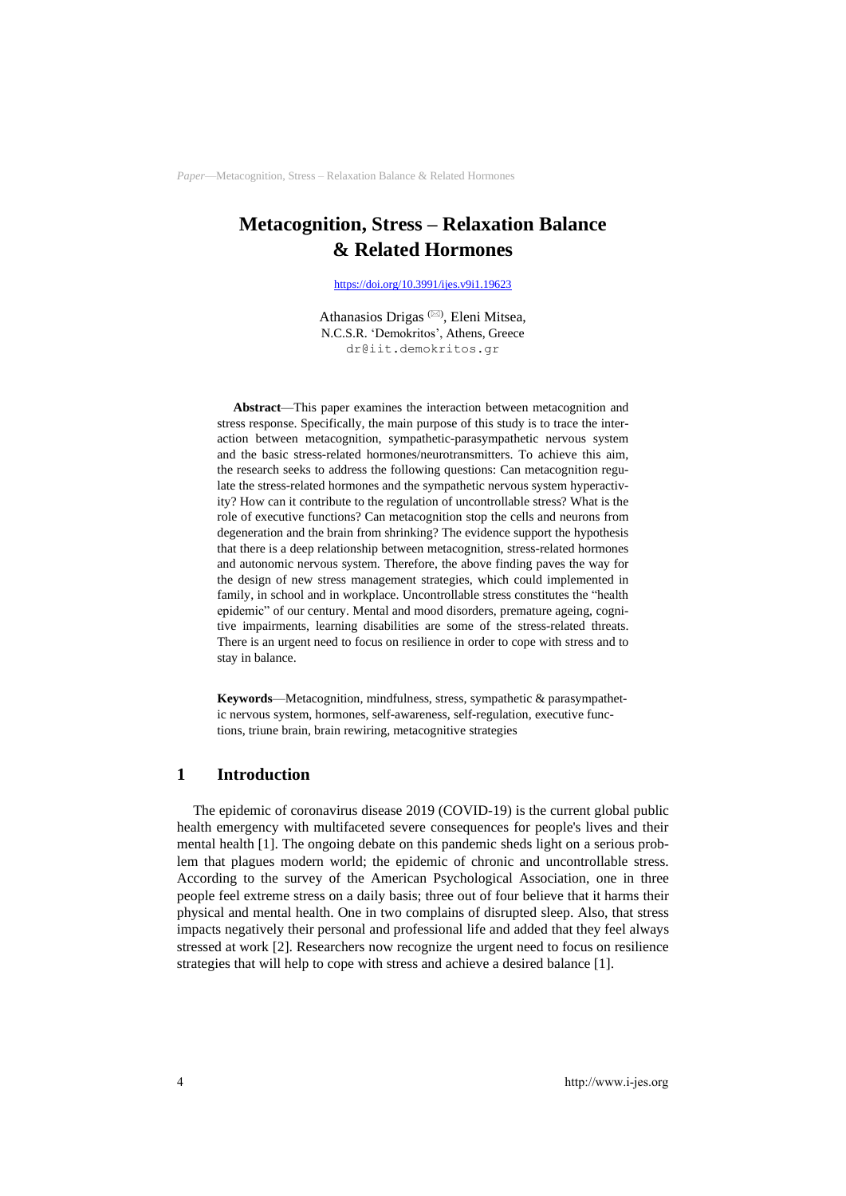# **Metacognition, Stress – Relaxation Balance & Related Hormones**

<https://doi.org/10.3991/ijes.v9i1.19623>

Athanasios Drigas<sup>( $\boxtimes$ )</sup>, Eleni Mitsea, N.C.S.R. 'Demokritos', Athens, Greece dr@iit.demokritos.gr

**Abstract**—This paper examines the interaction between metacognition and stress response. Specifically, the main purpose of this study is to trace the interaction between metacognition, sympathetic-parasympathetic nervous system and the basic stress-related hormones/neurotransmitters. To achieve this aim, the research seeks to address the following questions: Can metacognition regulate the stress-related hormones and the sympathetic nervous system hyperactivity? How can it contribute to the regulation of uncontrollable stress? What is the role of executive functions? Can metacognition stop the cells and neurons from degeneration and the brain from shrinking? The evidence support the hypothesis that there is a deep relationship between metacognition, stress-related hormones and autonomic nervous system. Therefore, the above finding paves the way for the design of new stress management strategies, which could implemented in family, in school and in workplace. Uncontrollable stress constitutes the "health epidemic" of our century. Mental and mood disorders, premature ageing, cognitive impairments, learning disabilities are some of the stress-related threats. There is an urgent need to focus on resilience in order to cope with stress and to stay in balance.

**Keywords**—Metacognition, mindfulness, stress, sympathetic & parasympathetic nervous system, hormones, self-awareness, self-regulation, executive functions, triune brain, brain rewiring, metacognitive strategies

## **1 Introduction**

The epidemic of coronavirus disease 2019 (COVID-19) is the current global public health emergency with multifaceted severe consequences for people's lives and their mental health [1]. The ongoing debate on this pandemic sheds light on a serious problem that plagues modern world; the epidemic of chronic and uncontrollable stress. According to the survey of the American Psychological Association, one in three people feel extreme stress on a daily basis; three out of four believe that it harms their physical and mental health. One in two complains of disrupted sleep. Also, that stress impacts negatively their personal and professional life and added that they feel always stressed at work [2]. Researchers now recognize the urgent need to focus on resilience strategies that will help to cope with stress and achieve a desired balance [1].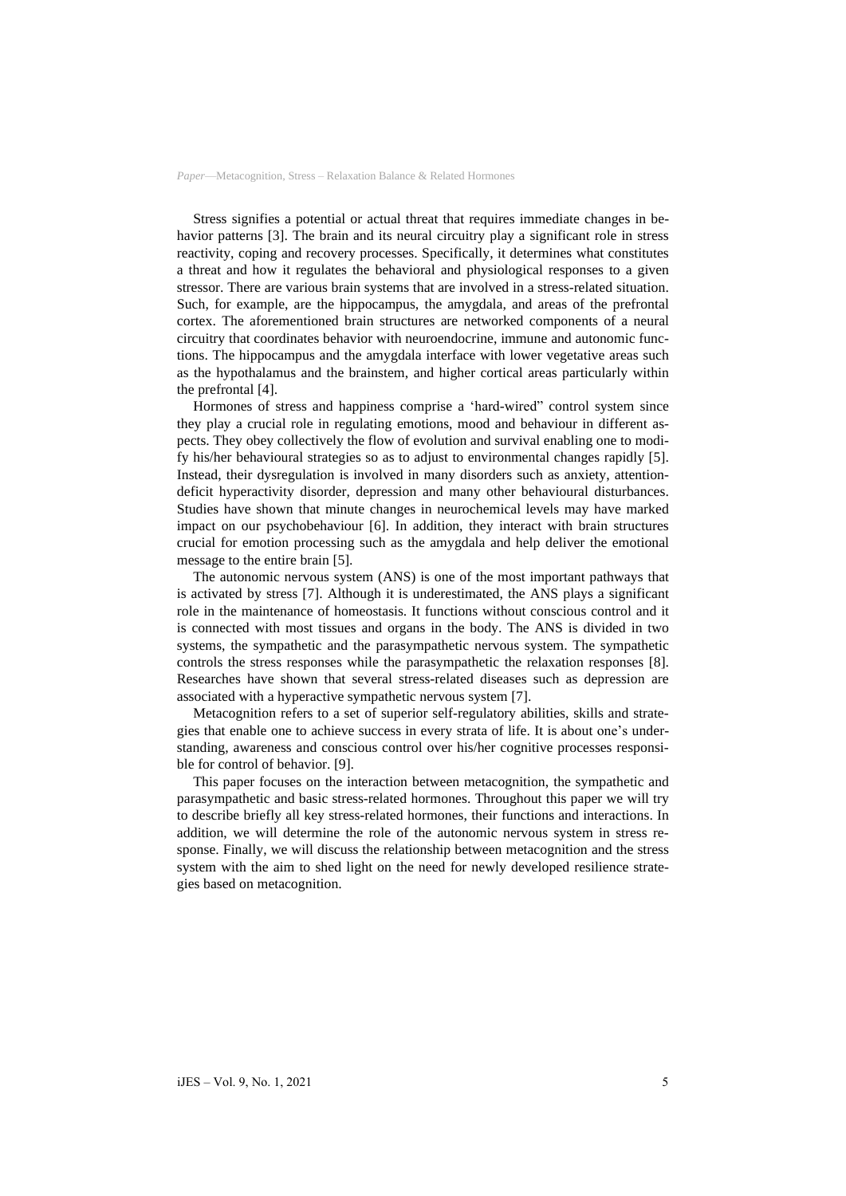Stress signifies a potential or actual threat that requires immediate changes in behavior patterns [3]. The brain and its neural circuitry play a significant role in stress reactivity, coping and recovery processes. Specifically, it determines what constitutes a threat and how it regulates the behavioral and physiological responses to a given stressor. There are various brain systems that are involved in a stress-related situation. Such, for example, are the hippocampus, the amygdala, and areas of the prefrontal cortex. The aforementioned brain structures are networked components of a neural circuitry that coordinates behavior with neuroendocrine, immune and autonomic functions. The hippocampus and the amygdala interface with lower vegetative areas such as the hypothalamus and the brainstem, and higher cortical areas particularly within the prefrontal [4].

Hormones of stress and happiness comprise a 'hard-wired" control system since they play a crucial role in regulating emotions, mood and behaviour in different aspects. They obey collectively the flow of evolution and survival enabling one to modify his/her behavioural strategies so as to adjust to environmental changes rapidly [5]. Instead, their dysregulation is involved in many disorders such as anxiety, attentiondeficit hyperactivity disorder, depression and many other behavioural disturbances. Studies have shown that minute changes in neurochemical levels may have marked impact on our psychobehaviour [6]. In addition, they interact with brain structures crucial for emotion processing such as the amygdala and help deliver the emotional message to the entire brain [5].

The autonomic nervous system (ANS) is one of the most important pathways that is activated by stress [7]. Although it is underestimated, the ANS plays a significant role in the maintenance of homeostasis. It functions without conscious control and it is connected with most tissues and organs in the body. The ANS is divided in two systems, the sympathetic and the parasympathetic nervous system. The sympathetic controls the stress responses while the parasympathetic the relaxation responses [8]. Researches have shown that several stress-related diseases such as depression are associated with a hyperactive sympathetic nervous system [7].

Metacognition refers to a set of superior self-regulatory abilities, skills and strategies that enable one to achieve success in every strata of life. It is about one's understanding, awareness and conscious control over his/her cognitive processes responsible for control of behavior. [9].

This paper focuses on the interaction between metacognition, the sympathetic and parasympathetic and basic stress-related hormones. Throughout this paper we will try to describe briefly all key stress-related hormones, their functions and interactions. In addition, we will determine the role of the autonomic nervous system in stress response. Finally, we will discuss the relationship between metacognition and the stress system with the aim to shed light on the need for newly developed resilience strategies based on metacognition.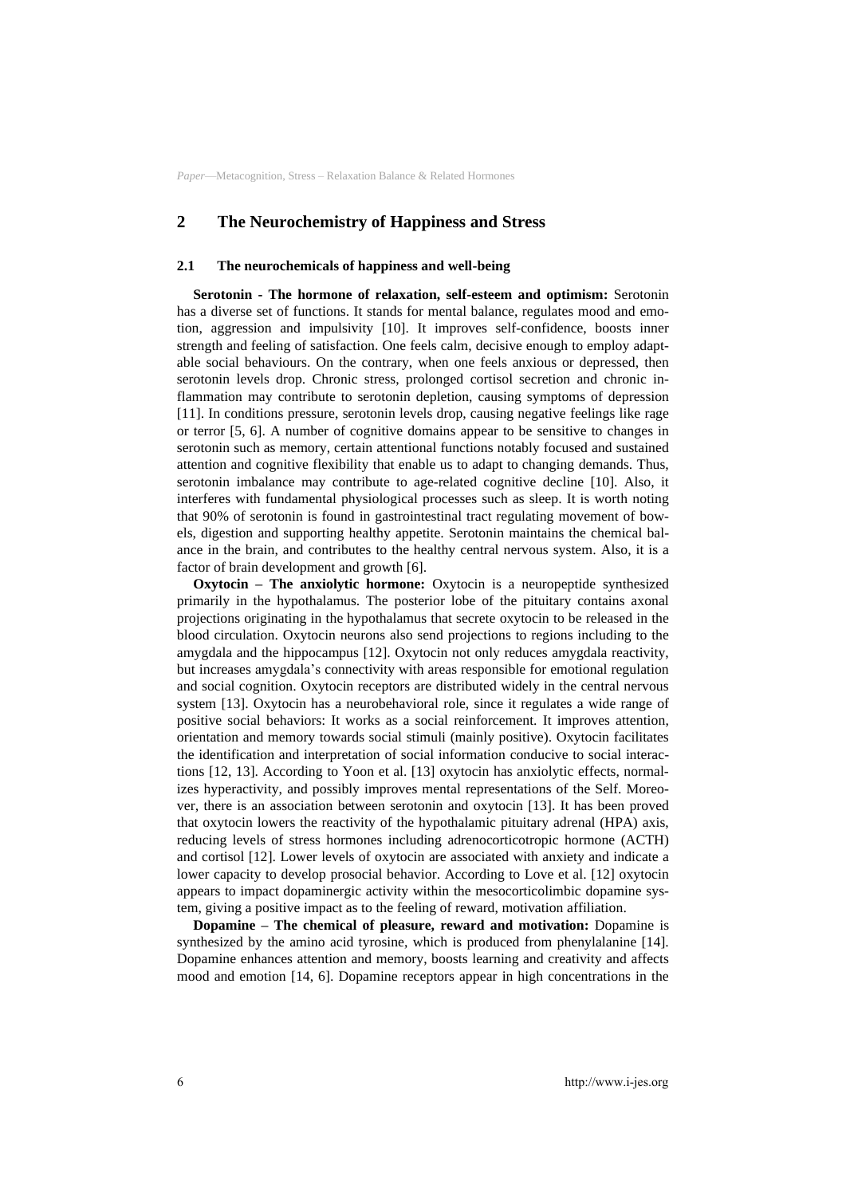## **2 Τhe Neurochemistry of Happiness and Stress**

#### **2.1 The neurochemicals of happiness and well-being**

**Serotonin - The hormone of relaxation, self-esteem and optimism:** Serotonin has a diverse set of functions. It stands for mental balance, regulates mood and emotion, aggression and impulsivity [10]. It improves self-confidence, boosts inner strength and feeling of satisfaction. One feels calm, decisive enough to employ adaptable social behaviours. On the contrary, when one feels anxious or depressed, then serotonin levels drop. Chronic stress, prolonged cortisol secretion and chronic inflammation may contribute to serotonin depletion, causing symptoms of depression [11]. In conditions pressure, serotonin levels drop, causing negative feelings like rage or terror [5, 6]. A number of cognitive domains appear to be sensitive to changes in serotonin such as memory, certain attentional functions notably focused and sustained attention and cognitive flexibility that enable us to adapt to changing demands. Thus, serotonin imbalance may contribute to age-related cognitive decline [10]. Also, it interferes with fundamental physiological processes such as sleep. It is worth noting that 90% of serotonin is found in gastrointestinal tract regulating movement of bowels, digestion and supporting healthy appetite. Serotonin maintains the chemical balance in the brain, and contributes to the healthy central nervous system. Also, it is a factor of brain development and growth [6].

**Oxytocin – The anxiolytic hormone:** Oxytocin is a neuropeptide synthesized primarily in the hypothalamus. The posterior lobe of the pituitary contains axonal projections originating in the hypothalamus that secrete oxytocin to be released in the blood circulation. Oxytocin neurons also send projections to regions including to the amygdala and the hippocampus [12]. Oxytocin not only reduces amygdala reactivity, but increases amygdala's connectivity with areas responsible for emotional regulation and social cognition. Oxytocin receptors are distributed widely in the central nervous system [13]. Oxytocin has a neurobehavioral role, since it regulates a wide range of positive social behaviors: It works as a social reinforcement. It improves attention, orientation and memory towards social stimuli (mainly positive). Oxytocin facilitates the identification and interpretation of social information conducive to social interactions [12, 13]. According to Yoon et al. [13] oxytocin has anxiolytic effects, normalizes hyperactivity, and possibly improves mental representations of the Self. Moreover, there is an association between serotonin and oxytocin [13]. It has been proved that oxytocin lowers the reactivity of the hypothalamic pituitary adrenal (HPA) axis, reducing levels of stress hormones including adrenocorticotropic hormone (ACTH) and cortisol [12]. Lower levels of oxytocin are associated with anxiety and indicate a lower capacity to develop prosocial behavior. According to Love et al. [12] oxytocin appears to impact dopaminergic activity within the mesocorticolimbic dopamine system, giving a positive impact as to the feeling of reward, motivation affiliation.

**Dopamine – The chemical of pleasure, reward and motivation:** Dopamine is synthesized by the amino acid tyrosine, which is produced from phenylalanine [14]. Dopamine enhances attention and memory, boosts learning and creativity and affects mood and emotion [14, 6]. Dopamine receptors appear in high concentrations in the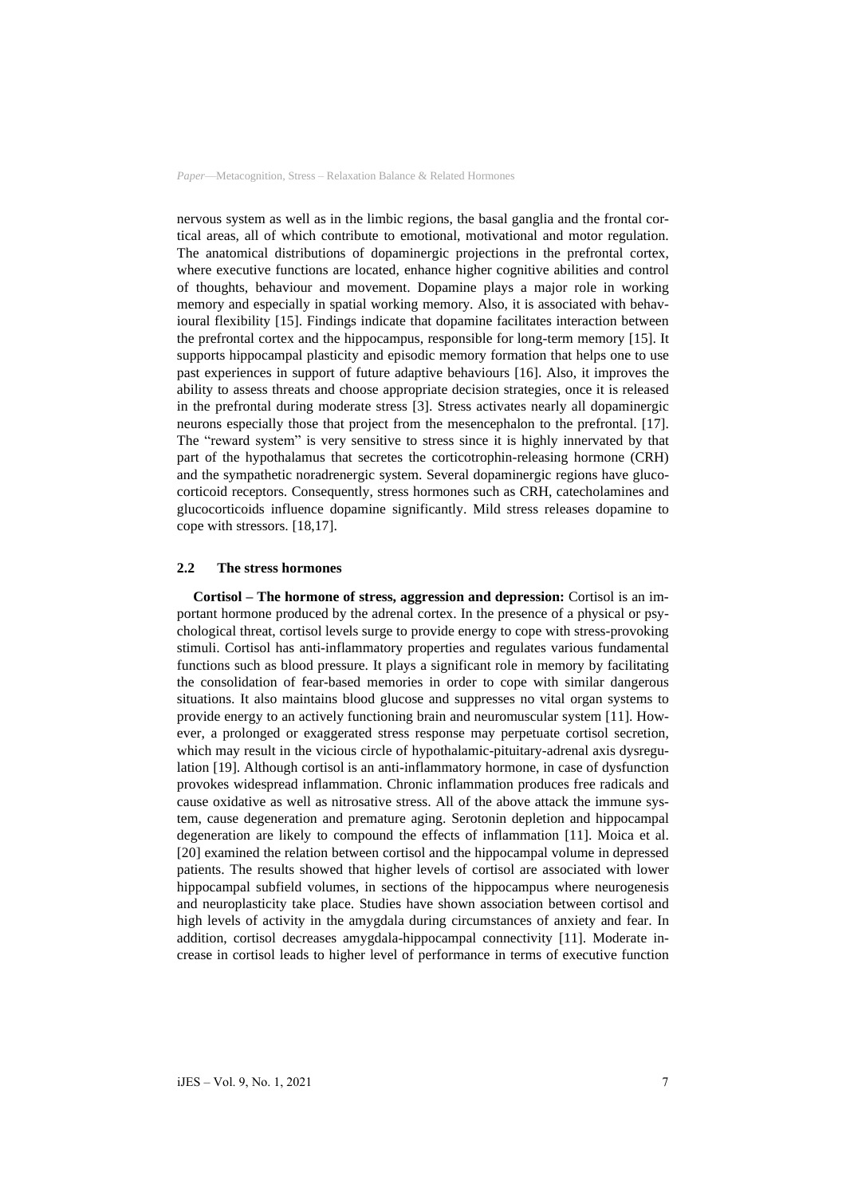nervous system as well as in the limbic regions, the basal ganglia and the frontal cortical areas, all of which contribute to emotional, motivational and motor regulation. The anatomical distributions of dopaminergic projections in the prefrontal cortex, where executive functions are located, enhance higher cognitive abilities and control of thoughts, behaviour and movement. Dopamine plays a major role in working memory and especially in spatial working memory. Also, it is associated with behavioural flexibility [15]. Findings indicate that dopamine facilitates interaction between the prefrontal cortex and the hippocampus, responsible for long-term memory [15]. It supports hippocampal plasticity and episodic memory formation that helps one to use past experiences in support of future adaptive behaviours [16]. Also, it improves the ability to assess threats and choose appropriate decision strategies, once it is released in the prefrontal during moderate stress [3]. Stress activates nearly all dopaminergic neurons especially those that project from the mesencephalon to the prefrontal. [17]. The "reward system" is very sensitive to stress since it is highly innervated by that part of the hypothalamus that secretes the corticotrophin-releasing hormone (CRH) and the sympathetic noradrenergic system. Several dopaminergic regions have glucocorticoid receptors. Consequently, stress hormones such as CRH, catecholamines and glucocorticoids influence dopamine significantly. Mild stress releases dopamine to cope with stressors. [18,17].

### **2.2 The stress hormones**

**Cortisol – The hormone of stress, aggression and depression:** Cortisol is an important hormone produced by the adrenal cortex. In the presence of a physical or psychological threat, cortisol levels surge to provide energy to cope with stress-provoking stimuli. Cortisol has anti-inflammatory properties and regulates various fundamental functions such as blood pressure. It plays a significant role in memory by facilitating the consolidation of fear-based memories in order to cope with similar dangerous situations. It also maintains blood glucose and suppresses no vital organ systems to provide energy to an actively functioning brain and neuromuscular system [11]. However, a prolonged or exaggerated stress response may perpetuate cortisol secretion, which may result in the vicious circle of hypothalamic-pituitary-adrenal axis dysregulation [19]. Although cortisol is an anti-inflammatory hormone, in case of dysfunction provokes widespread inflammation. Chronic inflammation produces free radicals and cause oxidative as well as nitrosative stress. All of the above attack the immune system, cause degeneration and premature aging. Serotonin depletion and hippocampal degeneration are likely to compound the effects of inflammation [11]. Moica et al. [20] examined the relation between cortisol and the hippocampal volume in depressed patients. The results showed that higher levels of cortisol are associated with lower hippocampal subfield volumes, in sections of the hippocampus where neurogenesis and neuroplasticity take place. Studies have shown association between cortisol and high levels of activity in the amygdala during circumstances of anxiety and fear. In addition, cortisol decreases amygdala-hippocampal connectivity [11]. Moderate increase in cortisol leads to higher level of performance in terms of executive function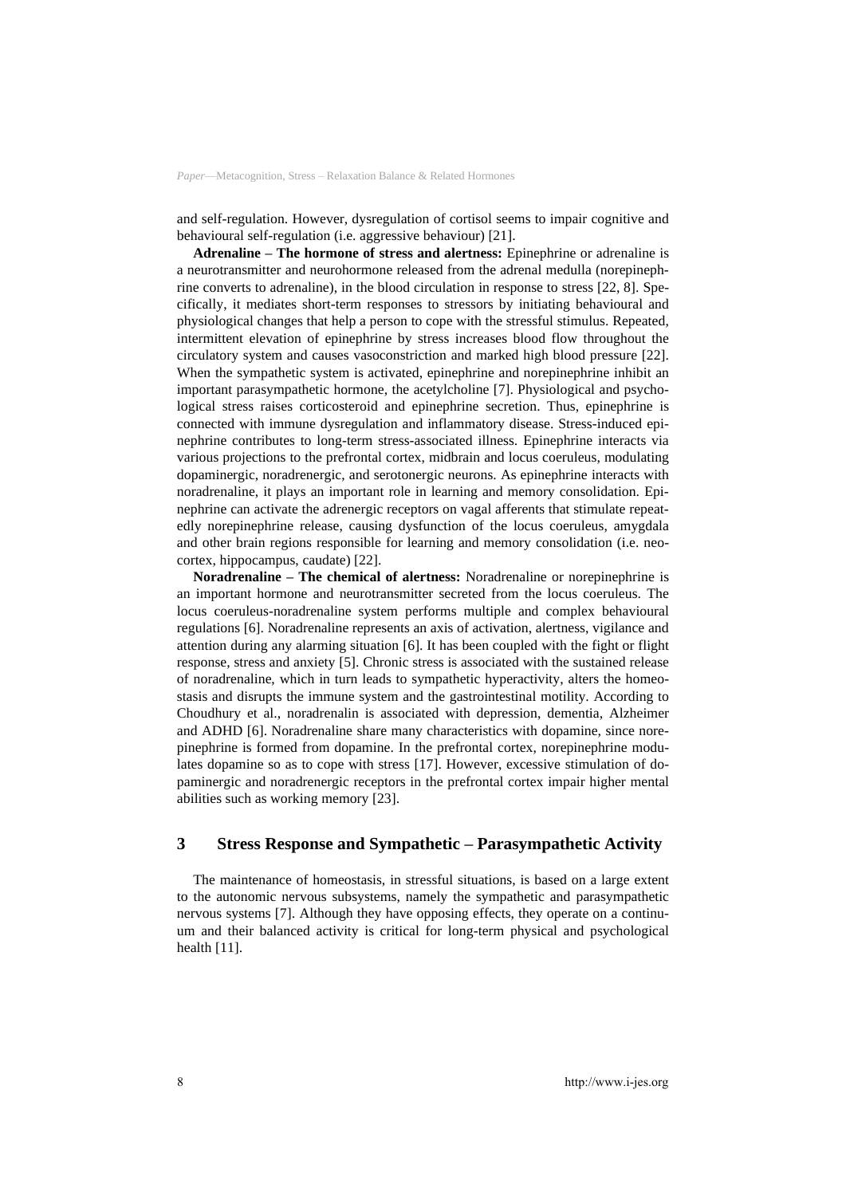and self-regulation. However, dysregulation of cortisol seems to impair cognitive and behavioural self-regulation (i.e. aggressive behaviour) [21].

**Adrenaline – The hormone of stress and alertness:** Epinephrine or adrenaline is a neurotransmitter and neurohormone released from the adrenal medulla (norepinephrine converts to adrenaline), in the blood circulation in response to stress [22, 8]. Specifically, it mediates short-term responses to stressors by initiating behavioural and physiological changes that help a person to cope with the stressful stimulus. Repeated, intermittent elevation of epinephrine by stress increases blood flow throughout the circulatory system and causes vasoconstriction and marked high blood pressure [22]. When the sympathetic system is activated, epinephrine and norepinephrine inhibit an important parasympathetic hormone, the acetylcholine [7]. Physiological and psychological stress raises corticosteroid and epinephrine secretion. Thus, epinephrine is connected with immune dysregulation and inflammatory disease. Stress-induced epinephrine contributes to long-term stress-associated illness. Epinephrine interacts via various projections to the prefrontal cortex, midbrain and locus coeruleus, modulating dopaminergic, noradrenergic, and serotonergic neurons. As epinephrine interacts with noradrenaline, it plays an important role in learning and memory consolidation. Epinephrine can activate the adrenergic receptors on vagal afferents that stimulate repeatedly norepinephrine release, causing dysfunction of the locus coeruleus, amygdala and other brain regions responsible for learning and memory consolidation (i.e. neocortex, hippocampus, caudate) [22].

**Noradrenaline – The chemical of alertness:** Noradrenaline or norepinephrine is an important hormone and neurotransmitter secreted from the locus coeruleus. The locus coeruleus-noradrenaline system performs multiple and complex behavioural regulations [6]. Noradrenaline represents an axis of activation, alertness, vigilance and attention during any alarming situation [6]. It has been coupled with the fight or flight response, stress and anxiety [5]. Chronic stress is associated with the sustained release of noradrenaline, which in turn leads to sympathetic hyperactivity, alters the homeostasis and disrupts the immune system and the gastrointestinal motility. According to Choudhury et al., noradrenalin is associated with depression, dementia, Alzheimer and ADHD [6]. Noradrenaline share many characteristics with dopamine, since norepinephrine is formed from dopamine. In the prefrontal cortex, norepinephrine modulates dopamine so as to cope with stress [17]. However, excessive stimulation of dopaminergic and noradrenergic receptors in the prefrontal cortex impair higher mental abilities such as working memory [23].

## **3 Stress Response and Sympathetic – Parasympathetic Activity**

The maintenance of homeostasis, in stressful situations, is based on a large extent to the autonomic nervous subsystems, namely the sympathetic and parasympathetic nervous systems [7]. Although they have opposing effects, they operate on a continuum and their balanced activity is critical for long-term physical and psychological health [11].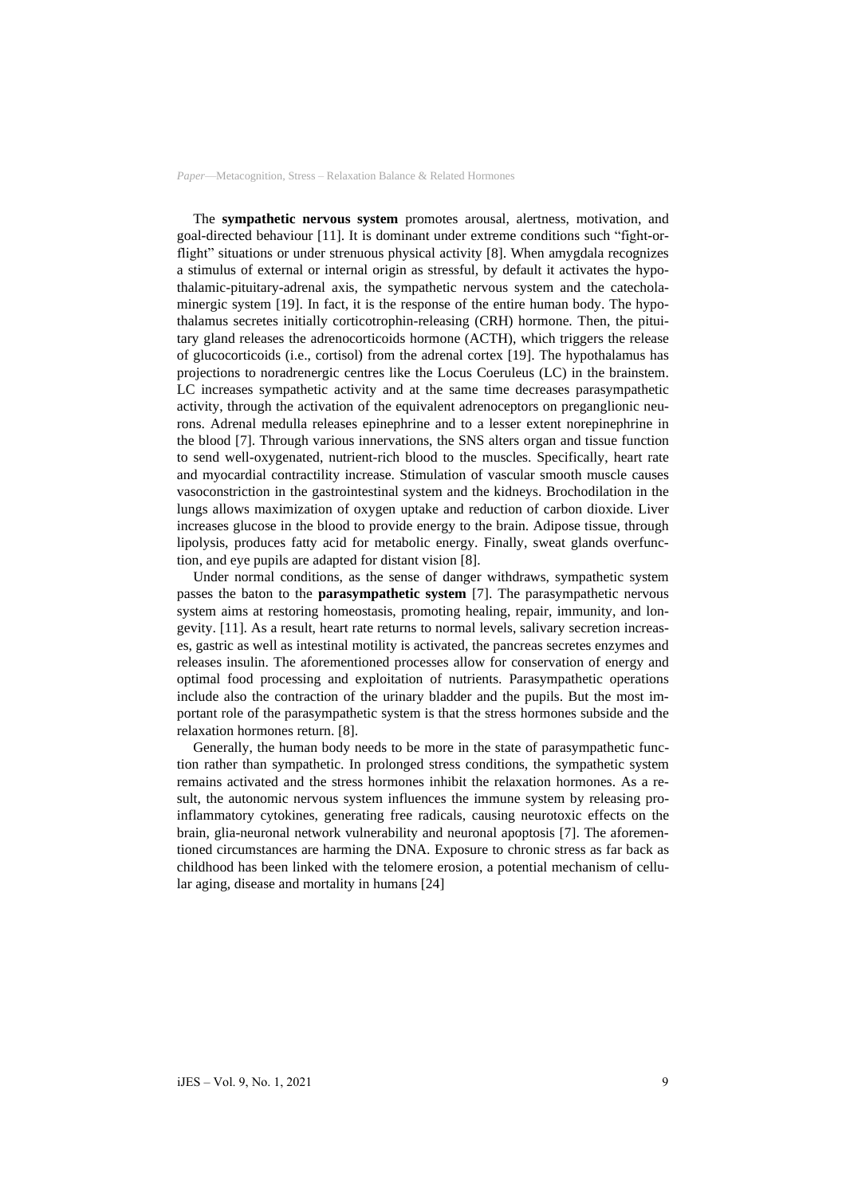The **sympathetic nervous system** promotes arousal, alertness, motivation, and goal-directed behaviour [11]. It is dominant under extreme conditions such "fight-orflight" situations or under strenuous physical activity [8]. When amygdala recognizes a stimulus of external or internal origin as stressful, by default it activates the hypothalamic-pituitary-adrenal axis, the sympathetic nervous system and the catecholaminergic system [19]. In fact, it is the response of the entire human body. The hypothalamus secretes initially corticotrophin-releasing (CRH) hormone. Then, the pituitary gland releases the adrenocorticoids hormone (ACTH), which triggers the release of glucocorticoids (i.e., cortisol) from the adrenal cortex [19]. The hypothalamus has projections to noradrenergic centres like the Locus Coeruleus (LC) in the brainstem. LC increases sympathetic activity and at the same time decreases parasympathetic activity, through the activation of the equivalent adrenoceptors on preganglionic neurons. Adrenal medulla releases epinephrine and to a lesser extent norepinephrine in the blood [7]. Through various innervations, the SNS alters organ and tissue function to send well-oxygenated, nutrient-rich blood to the muscles. Specifically, heart rate and myocardial contractility increase. Stimulation of vascular smooth muscle causes vasoconstriction in the gastrointestinal system and the kidneys. Brochodilation in the lungs allows maximization of oxygen uptake and reduction of carbon dioxide. Liver increases glucose in the blood to provide energy to the brain. Adipose tissue, through lipolysis, produces fatty acid for metabolic energy. Finally, sweat glands overfunction, and eye pupils are adapted for distant vision [8].

Under normal conditions, as the sense of danger withdraws, sympathetic system passes the baton to the **parasympathetic system** [7]. The parasympathetic nervous system aims at restoring homeostasis, promoting healing, repair, immunity, and longevity. [11]. As a result, heart rate returns to normal levels, salivary secretion increases, gastric as well as intestinal motility is activated, the pancreas secretes enzymes and releases insulin. The aforementioned processes allow for conservation of energy and optimal food processing and exploitation of nutrients. Parasympathetic operations include also the contraction of the urinary bladder and the pupils. But the most important role of the parasympathetic system is that the stress hormones subside and the relaxation hormones return. [8].

Generally, the human body needs to be more in the state of parasympathetic function rather than sympathetic. In prolonged stress conditions, the sympathetic system remains activated and the stress hormones inhibit the relaxation hormones. As a result, the autonomic nervous system influences the immune system by releasing proinflammatory cytokines, generating free radicals, causing neurotoxic effects on the brain, glia-neuronal network vulnerability and neuronal apoptosis [7]. The aforementioned circumstances are harming the DNA. Exposure to chronic stress as far back as childhood has been linked with the telomere erosion, a potential mechanism of cellular aging, disease and mortality in humans [24]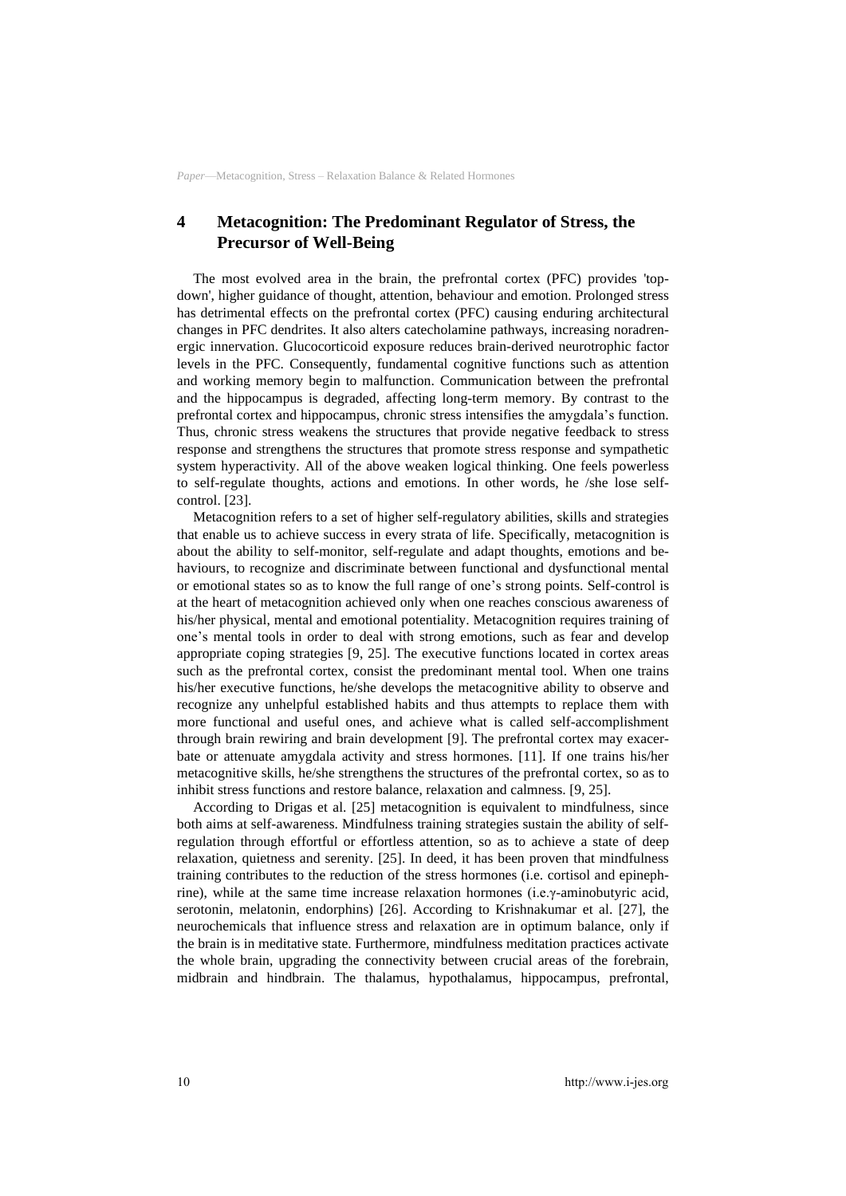## **4 Metacognition: The Predominant Regulator of Stress, the Precursor of Well-Being**

The most evolved area in the brain, the prefrontal cortex (PFC) provides 'topdown', higher guidance of thought, attention, behaviour and emotion. Prolonged stress has detrimental effects on the prefrontal cortex (PFC) causing enduring architectural changes in PFC dendrites. It also alters catecholamine pathways, increasing noradrenergic innervation. Glucocorticoid exposure reduces brain-derived neurotrophic factor levels in the PFC. Consequently, fundamental cognitive functions such as attention and working memory begin to malfunction. Communication between the prefrontal and the hippocampus is degraded, affecting long-term memory. By contrast to the prefrontal cortex and hippocampus, chronic stress intensifies the amygdala's function. Thus, chronic stress weakens the structures that provide negative feedback to stress response and strengthens the structures that promote stress response and sympathetic system hyperactivity. All of the above weaken logical thinking. One feels powerless to self-regulate thoughts, actions and emotions. In other words, he /she lose selfcontrol. [23].

Metacognition refers to a set of higher self-regulatory abilities, skills and strategies that enable us to achieve success in every strata of life. Specifically, metacognition is about the ability to self-monitor, self-regulate and adapt thoughts, emotions and behaviours, to recognize and discriminate between functional and dysfunctional mental or emotional states so as to know the full range of one's strong points. Self-control is at the heart of metacognition achieved only when one reaches conscious awareness of his/her physical, mental and emotional potentiality. Metacognition requires training of one's mental tools in order to deal with strong emotions, such as fear and develop appropriate coping strategies [9, 25]. The executive functions located in cortex areas such as the prefrontal cortex, consist the predominant mental tool. When one trains his/her executive functions, he/she develops the metacognitive ability to observe and recognize any unhelpful established habits and thus attempts to replace them with more functional and useful ones, and achieve what is called self-accomplishment through brain rewiring and brain development [9]. The prefrontal cortex may exacerbate or attenuate amygdala activity and stress hormones. [11]. If one trains his/her metacognitive skills, he/she strengthens the structures of the prefrontal cortex, so as to inhibit stress functions and restore balance, relaxation and calmness. [9, 25].

According to Drigas et al. [25] metacognition is equivalent to mindfulness, since both aims at self-awareness. Mindfulness training strategies sustain the ability of selfregulation through effortful or effortless attention, so as to achieve a state of deep relaxation, quietness and serenity. [25]. In deed, it has been proven that mindfulness training contributes to the reduction of the stress hormones (i.e. cortisol and epinephrine), while at the same time increase relaxation hormones (i.e.γ-aminobutyric acid, serotonin, melatonin, endorphins) [26]. According to Krishnakumar et al. [27], the neurochemicals that influence stress and relaxation are in optimum balance, only if the brain is in meditative state. Furthermore, mindfulness meditation practices activate the whole brain, upgrading the connectivity between crucial areas of the forebrain, midbrain and hindbrain. The thalamus, hypothalamus, hippocampus, prefrontal,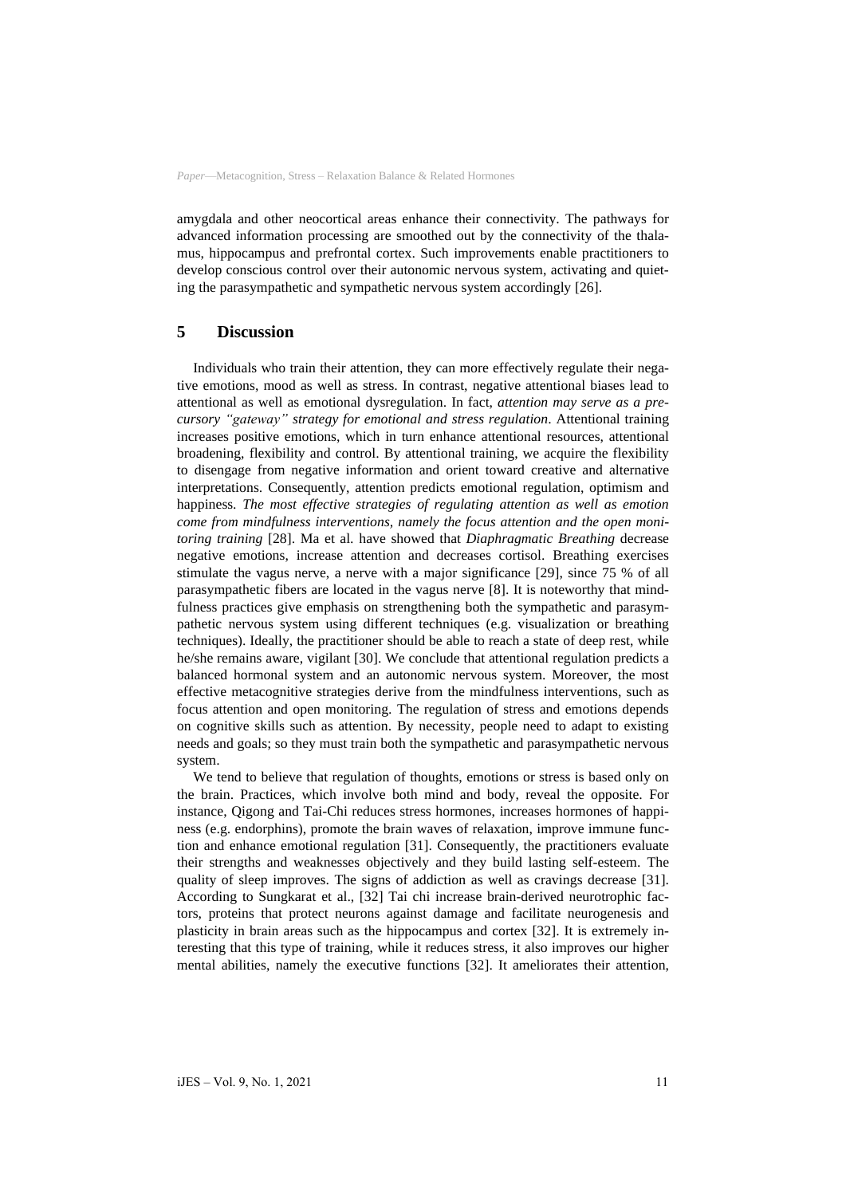amygdala and other neocortical areas enhance their connectivity. The pathways for advanced information processing are smoothed out by the connectivity of the thalamus, hippocampus and prefrontal cortex. Such improvements enable practitioners to develop conscious control over their autonomic nervous system, activating and quieting the parasympathetic and sympathetic nervous system accordingly [26].

### **5 Discussion**

Individuals who train their attention, they can more effectively regulate their negative emotions, mood as well as stress. In contrast, negative attentional biases lead to attentional as well as emotional dysregulation. In fact, *attention may serve as a precursory "gateway" strategy for emotional and stress regulation*. Attentional training increases positive emotions, which in turn enhance attentional resources, attentional broadening, flexibility and control. By attentional training, we acquire the flexibility to disengage from negative information and orient toward creative and alternative interpretations. Consequently, attention predicts emotional regulation, optimism and happiness. *The most effective strategies of regulating attention as well as emotion come from mindfulness interventions, namely the focus attention and the open monitoring training* [28]. Ma et al. have showed that *Diaphragmatic Breathing* decrease negative emotions, increase attention and decreases cortisol. Breathing exercises stimulate the vagus nerve, a nerve with a major significance [29], since 75 % of all parasympathetic fibers are located in the vagus nerve [8]. It is noteworthy that mindfulness practices give emphasis on strengthening both the sympathetic and parasympathetic nervous system using different techniques (e.g. visualization or breathing techniques). Ideally, the practitioner should be able to reach a state of deep rest, while he/she remains aware, vigilant [30]. We conclude that attentional regulation predicts a balanced hormonal system and an autonomic nervous system. Moreover, the most effective metacognitive strategies derive from the mindfulness interventions, such as focus attention and open monitoring. The regulation of stress and emotions depends on cognitive skills such as attention. By necessity, people need to adapt to existing needs and goals; so they must train both the sympathetic and parasympathetic nervous system.

We tend to believe that regulation of thoughts, emotions or stress is based only on the brain. Practices, which involve both mind and body, reveal the opposite. For instance, Qigong and Tai-Chi reduces stress hormones, increases hormones of happiness (e.g. endorphins), promote the brain waves of relaxation, improve immune function and enhance emotional regulation [31]. Consequently, the practitioners evaluate their strengths and weaknesses objectively and they build lasting self-esteem. The quality of sleep improves. The signs of addiction as well as cravings decrease [31]. According to Sungkarat et al., [32] Tai chi increase brain-derived neurotrophic factors, proteins that protect neurons against damage and facilitate neurogenesis and plasticity in brain areas such as the hippocampus and cortex [32]. It is extremely interesting that this type of training, while it reduces stress, it also improves our higher mental abilities, namely the executive functions [32]. It ameliorates their attention,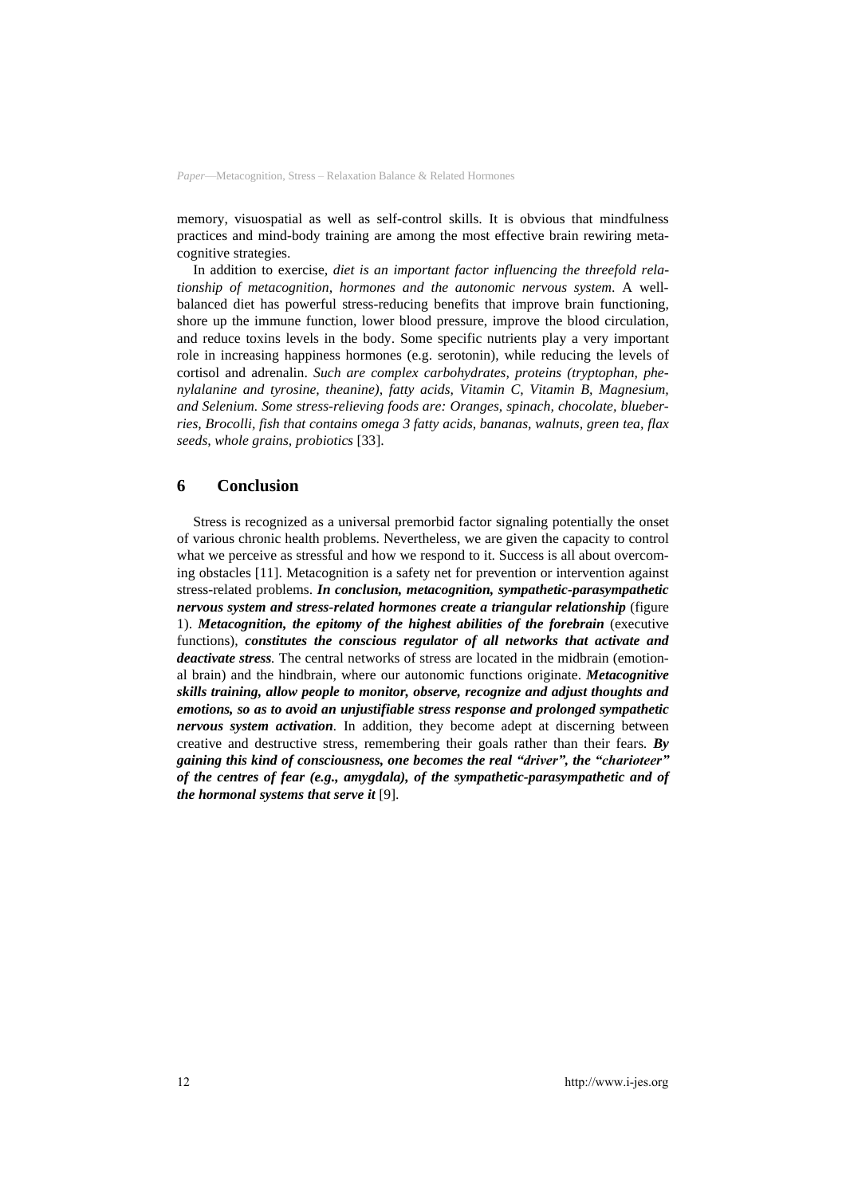memory, visuospatial as well as self-control skills. It is obvious that mindfulness practices and mind-body training are among the most effective brain rewiring metacognitive strategies.

In addition to exercise, *diet is an important factor influencing the threefold relationship of metacognition, hormones and the autonomic nervous system*. A wellbalanced diet has powerful stress-reducing benefits that improve brain functioning, shore up the immune function, lower blood pressure, improve the blood circulation, and reduce toxins levels in the body. Some specific nutrients play a very important role in increasing happiness hormones (e.g. serotonin), while reducing the levels of cortisol and adrenalin. *Such are complex carbohydrates, proteins (tryptophan, phenylalanine and tyrosine, theanine), fatty acids, Vitamin C, Vitamin B, Magnesium, and Selenium. Some stress-relieving foods are: Oranges, spinach, chocolate, blueberries, Brocolli, fish that contains omega 3 fatty acids, bananas, walnuts, green tea, flax seeds, whole grains, probiotics* [33].

### **6 Conclusion**

Stress is recognized as a universal premorbid factor signaling potentially the onset of various chronic health problems. Nevertheless, we are given the capacity to control what we perceive as stressful and how we respond to it. Success is all about overcoming obstacles [11]. Metacognition is a safety net for prevention or intervention against stress-related problems. *In conclusion, metacognition, sympathetic-parasympathetic nervous system and stress-related hormones create a triangular relationship* (figure 1). *Metacognition, the epitomy of the highest abilities of the forebrain* (executive functions), *constitutes the conscious regulator of all networks that activate and deactivate stress.* The central networks of stress are located in the midbrain (emotional brain) and the hindbrain, where our autonomic functions originate. *Metacognitive skills training, allow people to monitor, observe, recognize and adjust thoughts and emotions, so as to avoid an unjustifiable stress response and prolonged sympathetic nervous system activation.* In addition, they become adept at discerning between creative and destructive stress, remembering their goals rather than their fears*. By gaining this kind of consciousness, one becomes the real "driver", the "charioteer" of the centres of fear (e.g., amygdala), of the sympathetic-parasympathetic and of the hormonal systems that serve it* [9].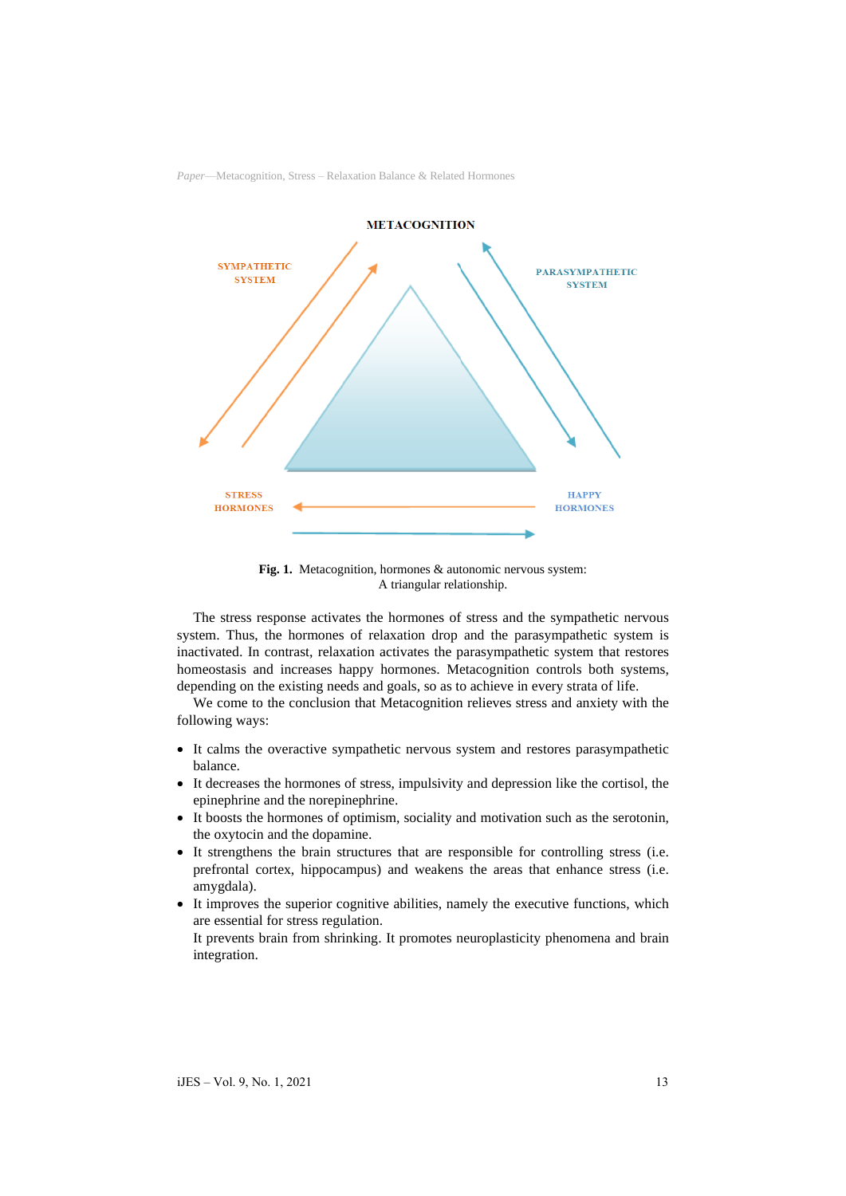

**Fig. 1.** Metacognition, hormones & autonomic nervous system: A triangular relationship.

The stress response activates the hormones of stress and the sympathetic nervous system. Thus, the hormones of relaxation drop and the parasympathetic system is inactivated. In contrast, relaxation activates the parasympathetic system that restores homeostasis and increases happy hormones. Metacognition controls both systems, depending on the existing needs and goals, so as to achieve in every strata of life.

We come to the conclusion that Metacognition relieves stress and anxiety with the following ways:

- It calms the overactive sympathetic nervous system and restores parasympathetic balance.
- It decreases the hormones of stress, impulsivity and depression like the cortisol, the epinephrine and the norepinephrine.
- It boosts the hormones of optimism, sociality and motivation such as the serotonin, the oxytocin and the dopamine.
- It strengthens the brain structures that are responsible for controlling stress (i.e. prefrontal cortex, hippocampus) and weakens the areas that enhance stress (i.e. amygdala).
- It improves the superior cognitive abilities, namely the executive functions, which are essential for stress regulation.
	- It prevents brain from shrinking. It promotes neuroplasticity phenomena and brain integration.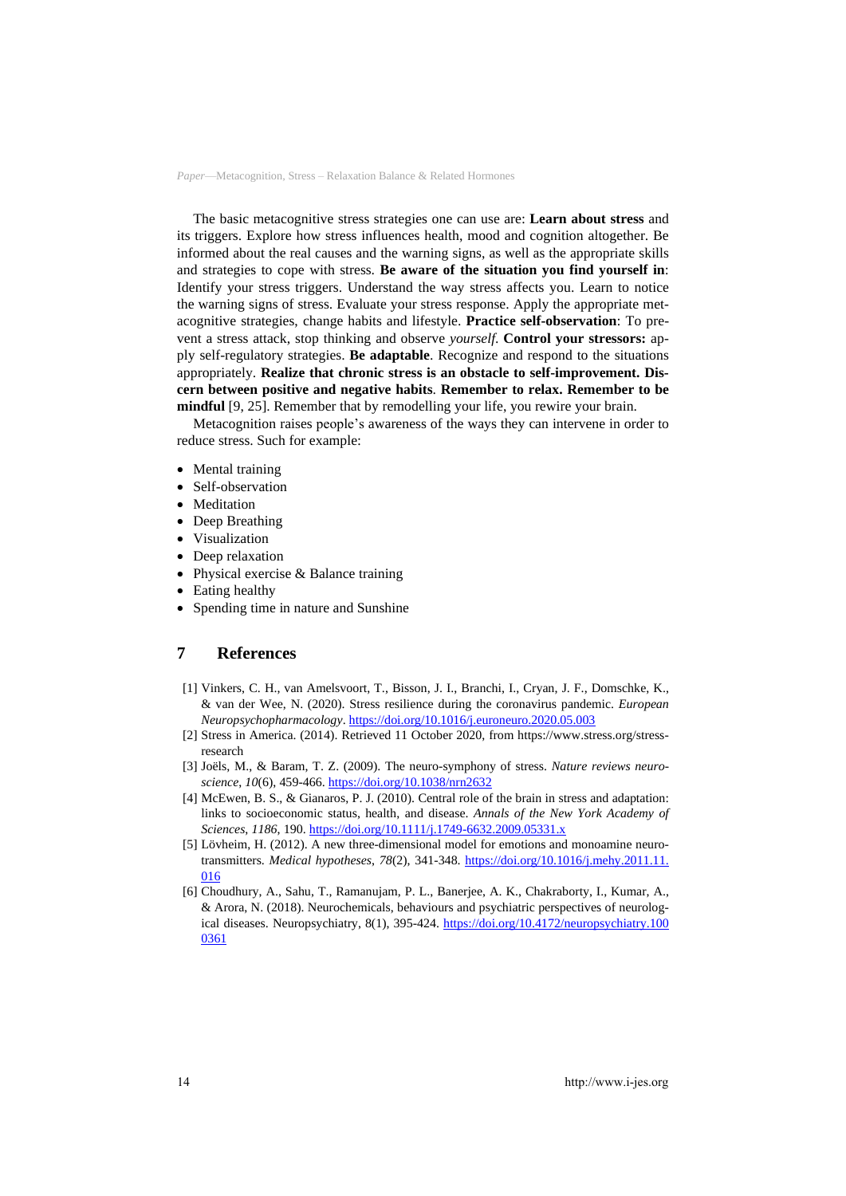The basic metacognitive stress strategies one can use are: **Learn about stress** and its triggers. Explore how stress influences health, mood and cognition altogether. Be informed about the real causes and the warning signs, as well as the appropriate skills and strategies to cope with stress. **Be aware of the situation you find yourself in**: Identify your stress triggers. Understand the way stress affects you. Learn to notice the warning signs of stress. Evaluate your stress response. Apply the appropriate metacognitive strategies, change habits and lifestyle. **Practice self-observation**: To prevent a stress attack, stop thinking and observe *yourself*. **Control your stressors:** apply self-regulatory strategies. **Be adaptable**. Recognize and respond to the situations appropriately. **Realize that chronic stress is an obstacle to self-improvement. Discern between positive and negative habits**. **Remember to relax. Remember to be mindful** [9, 25]. Remember that by remodelling your life, you rewire your brain.

Metacognition raises people's awareness of the ways they can intervene in order to reduce stress. Such for example:

- Mental training
- Self-observation
- Meditation
- Deep Breathing
- Visualization
- Deep relaxation
- Physical exercise & Balance training
- Eating healthy
- Spending time in nature and Sunshine

## **7 References**

- [1] Vinkers, C. H., van Amelsvoort, T., Bisson, J. I., Branchi, I., Cryan, J. F., Domschke, K., & van der Wee, N. (2020). Stress resilience during the coronavirus pandemic. *European Neuropsychopharmacology*. <https://doi.org/10.1016/j.euroneuro.2020.05.003>
- [2] Stress in America. (2014). Retrieved 11 October 2020, from https://www.stress.org/stressresearch
- [3] Joëls, M., & Baram, T. Z. (2009). The neuro-symphony of stress. *Nature reviews neuroscience*, *10*(6), 459-466. <https://doi.org/10.1038/nrn2632>
- [4] McEwen, B. S., & Gianaros, P. J. (2010). Central role of the brain in stress and adaptation: links to socioeconomic status, health, and disease. *Annals of the New York Academy of Sciences*, *1186*, 190. <https://doi.org/10.1111/j.1749-6632.2009.05331.x>
- [5] Lövheim, H. (2012). A new three-dimensional model for emotions and monoamine neurotransmitters. *Medical hypotheses*, *78*(2), 341-348. [https://doi.org/10.1016/j.mehy.2011.11.](https://doi.org/10.1016/j.mehy.2011.11.016) [016](https://doi.org/10.1016/j.mehy.2011.11.016)
- [6] Choudhury, A., Sahu, T., Ramanujam, P. L., Banerjee, A. K., Chakraborty, I., Kumar, A., & Arora, N. (2018). Neurochemicals, behaviours and psychiatric perspectives of neurological diseases. Neuropsychiatry, 8(1), 395-424. [https://doi.org/10.4172/neuropsychiatry.100](https://doi.org/10.4172/neuropsychiatry.1000361) [0361](https://doi.org/10.4172/neuropsychiatry.1000361)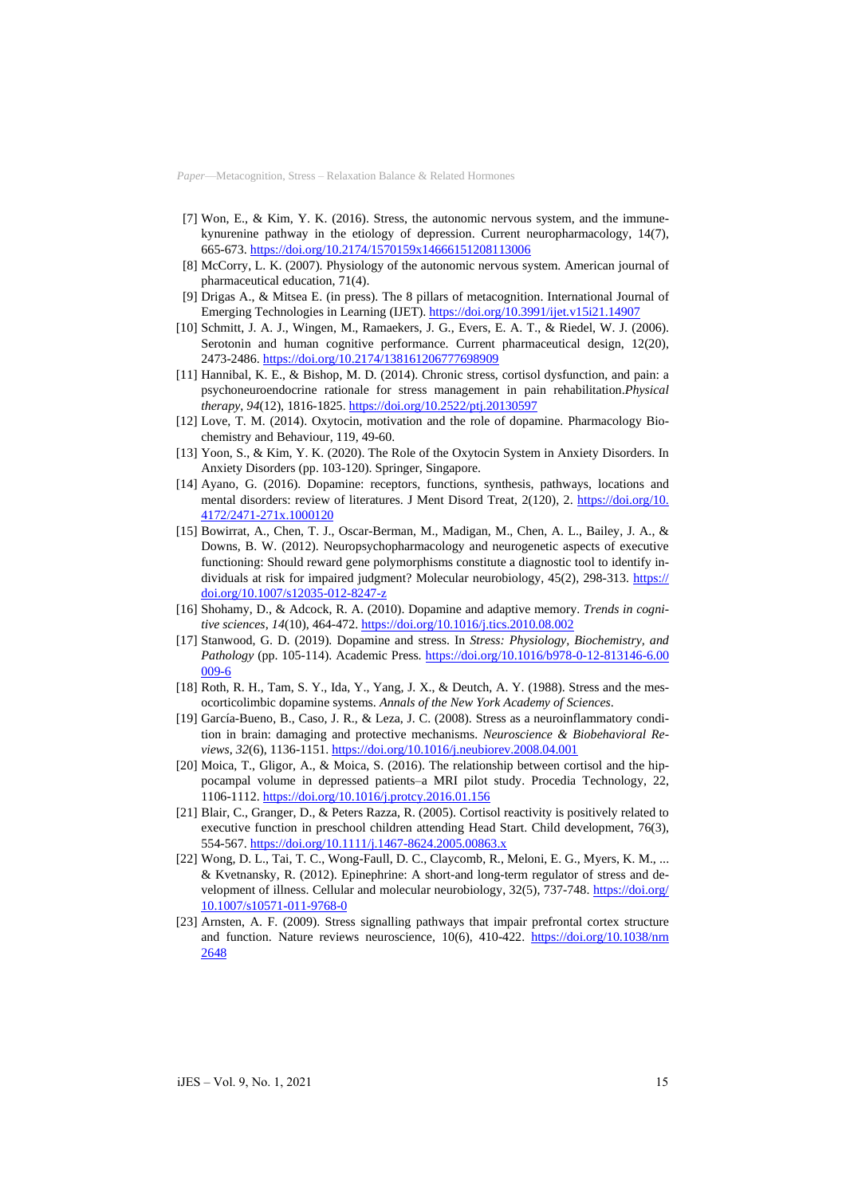- [7] Won, E., & Kim, Y. K. (2016). Stress, the autonomic nervous system, and the immunekynurenine pathway in the etiology of depression. Current neuropharmacology, 14(7), 665-673. <https://doi.org/10.2174/1570159x14666151208113006>
- [8] McCorry, L. K. (2007). Physiology of the autonomic nervous system. American journal of pharmaceutical education, 71(4).
- [9] Drigas A., & Mitsea E. (in press). The 8 pillars of metacognition. International Journal of Emerging Technologies in Learning (IJET).<https://doi.org/10.3991/ijet.v15i21.14907>
- [10] Schmitt, J. A. J., Wingen, M., Ramaekers, J. G., Evers, E. A. T., & Riedel, W. J. (2006). Serotonin and human cognitive performance. Current pharmaceutical design, 12(20), 2473-2486. <https://doi.org/10.2174/138161206777698909>
- [11] Hannibal, K. E., & Bishop, M. D. (2014). Chronic stress, cortisol dysfunction, and pain: a psychoneuroendocrine rationale for stress management in pain rehabilitation.*Physical therapy*, *94*(12), 1816-1825. <https://doi.org/10.2522/ptj.20130597>
- [12] Love, T. M. (2014). Oxytocin, motivation and the role of dopamine. Pharmacology Biochemistry and Behaviour, 119, 49-60.
- [13] Yoon, S., & Kim, Y. K. (2020). The Role of the Oxytocin System in Anxiety Disorders. In Anxiety Disorders (pp. 103-120). Springer, Singapore.
- [14] Ayano, G. (2016). Dopamine: receptors, functions, synthesis, pathways, locations and mental disorders: review of literatures. J Ment Disord Treat, 2(120), 2. [https://doi.org/10.](https://doi.org/10.4172/2471-271x.1000120) [4172/2471-271x.1000120](https://doi.org/10.4172/2471-271x.1000120)
- [15] Bowirrat, A., Chen, T. J., Oscar-Berman, M., Madigan, M., Chen, A. L., Bailey, J. A., & Downs, B. W. (2012). Neuropsychopharmacology and neurogenetic aspects of executive functioning: Should reward gene polymorphisms constitute a diagnostic tool to identify individuals at risk for impaired judgment? Molecular neurobiology, 45(2), 298-313. [https://](https://doi.org/10.1007/s12035-012-8247-z) [doi.org/10.1007/s12035-012-8247-z](https://doi.org/10.1007/s12035-012-8247-z)
- [16] Shohamy, D., & Adcock, R. A. (2010). Dopamine and adaptive memory. *Trends in cognitive sciences*, *14*(10), 464-472. <https://doi.org/10.1016/j.tics.2010.08.002>
- [17] Stanwood, G. D. (2019). Dopamine and stress. In *Stress: Physiology, Biochemistry, and* Pathology (pp. 105-114). Academic Press. [https://doi.org/10.1016/b978-0-12-813146-6.00](https://doi.org/10.1016/b978-0-12-813146-6.00009-6) [009-6](https://doi.org/10.1016/b978-0-12-813146-6.00009-6)
- [18] Roth, R. H., Tam, S. Y., Ida, Y., Yang, J. X., & Deutch, A. Y. (1988). Stress and the mesocorticolimbic dopamine systems. *Annals of the New York Academy of Sciences*.
- [19] García-Bueno, B., Caso, J. R., & Leza, J. C. (2008). Stress as a neuroinflammatory condition in brain: damaging and protective mechanisms. *Neuroscience & Biobehavioral Reviews*, *32*(6), 1136-1151. <https://doi.org/10.1016/j.neubiorev.2008.04.001>
- [20] Moica, T., Gligor, A., & Moica, S. (2016). The relationship between cortisol and the hippocampal volume in depressed patients–a MRI pilot study. Procedia Technology, 22, 1106-1112. <https://doi.org/10.1016/j.protcy.2016.01.156>
- [21] Blair, C., Granger, D., & Peters Razza, R. (2005). Cortisol reactivity is positively related to executive function in preschool children attending Head Start. Child development, 76(3), 554-567. <https://doi.org/10.1111/j.1467-8624.2005.00863.x>
- [22] Wong, D. L., Tai, T. C., Wong-Faull, D. C., Claycomb, R., Meloni, E. G., Myers, K. M., ... & Kvetnansky, R. (2012). Epinephrine: A short-and long-term regulator of stress and development of illness. Cellular and molecular neurobiology, 32(5), 737-748. [https://doi.org/](https://doi.org/10.1007/s10571-011-9768-0) [10.1007/s10571-011-9768-0](https://doi.org/10.1007/s10571-011-9768-0)
- [23] Arnsten, A. F. (2009). Stress signalling pathways that impair prefrontal cortex structure and function. Nature reviews neuroscience, 10(6), 410-422. [https://doi.org/10.1038/nrn](https://doi.org/10.1038/nrn2648) [2648](https://doi.org/10.1038/nrn2648)